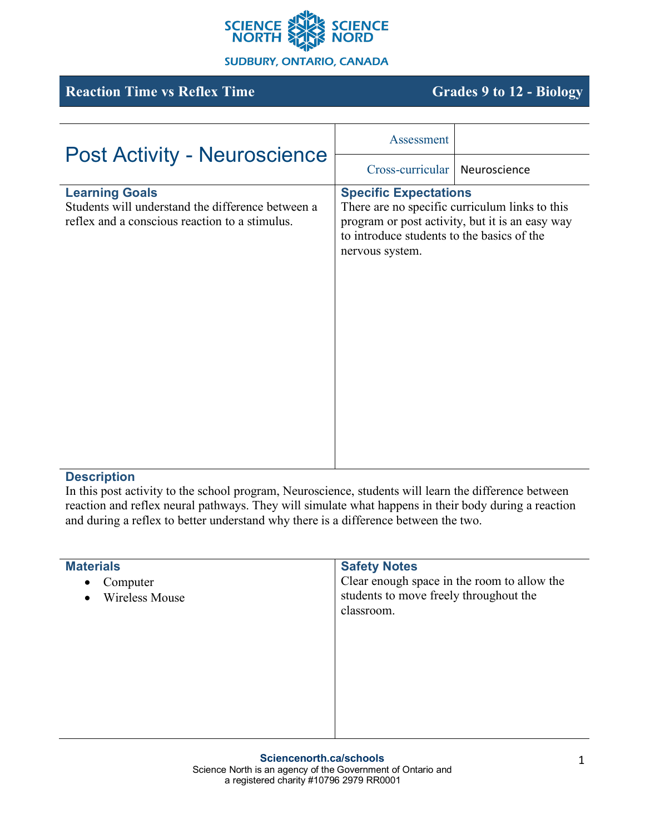

#### **SUDBURY, ONTARIO, CANADA**

# **Reaction Time vs Reflex Time Grades 9 to 12 - Biology**

| <b>Post Activity - Neuroscience</b>                                                                                          | Assessment                                                                                    |                                                                                                   |
|------------------------------------------------------------------------------------------------------------------------------|-----------------------------------------------------------------------------------------------|---------------------------------------------------------------------------------------------------|
|                                                                                                                              | Cross-curricular                                                                              | Neuroscience                                                                                      |
| <b>Learning Goals</b><br>Students will understand the difference between a<br>reflex and a conscious reaction to a stimulus. | <b>Specific Expectations</b><br>to introduce students to the basics of the<br>nervous system. | There are no specific curriculum links to this<br>program or post activity, but it is an easy way |

## **Description**

In this post activity to the school program, Neuroscience, students will learn the difference between reaction and reflex neural pathways. They will simulate what happens in their body during a reaction and during a reflex to better understand why there is a difference between the two.

| <b>Materials</b>                                            | <b>Safety Notes</b>                                                                                 |
|-------------------------------------------------------------|-----------------------------------------------------------------------------------------------------|
| Computer<br>$\bullet$<br><b>Wireless Mouse</b><br>$\bullet$ | Clear enough space in the room to allow the<br>students to move freely throughout the<br>classroom. |
|                                                             |                                                                                                     |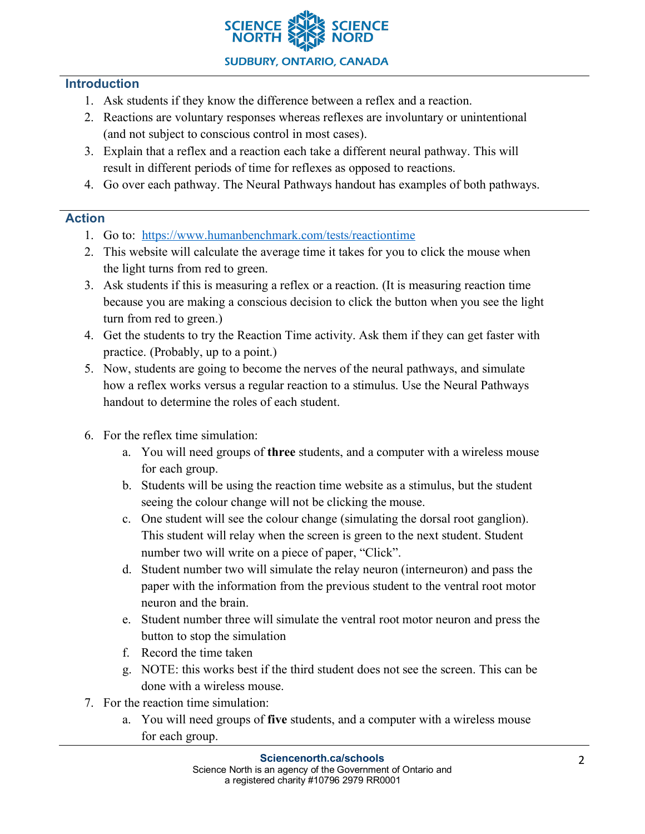

#### **Introduction**

- 1. Ask students if they know the difference between a reflex and a reaction.
- 2. Reactions are voluntary responses whereas reflexes are involuntary or unintentional (and not subject to conscious control in most cases).
- 3. Explain that a reflex and a reaction each take a different neural pathway. This will result in different periods of time for reflexes as opposed to reactions.
- 4. Go over each pathway. The Neural Pathways handout has examples of both pathways.

## **Action**

- 1. Go to: https://www.humanbenchmark.com/tests/reactiontime
- 2. This website will calculate the average time it takes for you to click the mouse when the light turns from red to green.
- 3. Ask students if this is measuring a reflex or a reaction. (It is measuring reaction time because you are making a conscious decision to click the button when you see the light turn from red to green.)
- 4. Get the students to try the Reaction Time activity. Ask them if they can get faster with practice. (Probably, up to a point.)
- 5. Now, students are going to become the nerves of the neural pathways, and simulate how a reflex works versus a regular reaction to a stimulus. Use the Neural Pathways handout to determine the roles of each student.
- 6. For the reflex time simulation:
	- a. You will need groups of **three** students, and a computer with a wireless mouse for each group.
	- b. Students will be using the reaction time website as a stimulus, but the student seeing the colour change will not be clicking the mouse.
	- c. One student will see the colour change (simulating the dorsal root ganglion). This student will relay when the screen is green to the next student. Student number two will write on a piece of paper, "Click".
	- d. Student number two will simulate the relay neuron (interneuron) and pass the paper with the information from the previous student to the ventral root motor neuron and the brain.
	- e. Student number three will simulate the ventral root motor neuron and press the button to stop the simulation
	- f. Record the time taken
	- g. NOTE: this works best if the third student does not see the screen. This can be done with a wireless mouse.
- 7. For the reaction time simulation:
	- a. You will need groups of **five** students, and a computer with a wireless mouse for each group.